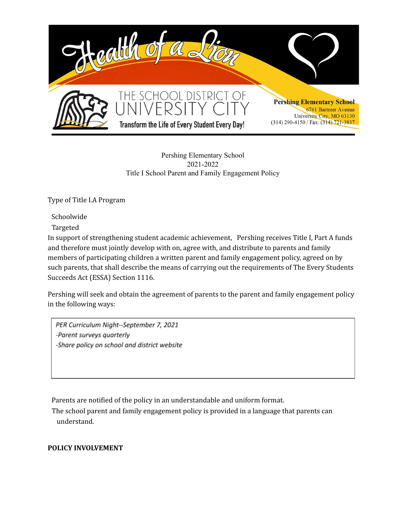

## Pershing Elementary School 2021-2022 Title I School Parent and Family Engagement Policy

Type of Title I.A Program

Schoolwide

Targeted

In support of strengthening student academic achievement, Pershing receives Title I, Part A funds and therefore must jointly develop with on, agree with, and distribute to parents and family members of participating children a written parent and family engagement policy, agreed on by such parents, that shall describe the means of carrying out the requirements of The Every Students Succeeds Act (ESSA) Section 1116.

Pershing will seek and obtain the agreement of parents to the parent and family engagement policy in the following ways:

PER Curriculum Night--September 7, 2021 -Parent surveys quarterly -Share policy on school and district website

Parents are notified of the policy in an understandable and uniform format.

The school parent and family engagement policy is provided in a language that parents can understand.

## **POLICY INVOLVEMENT**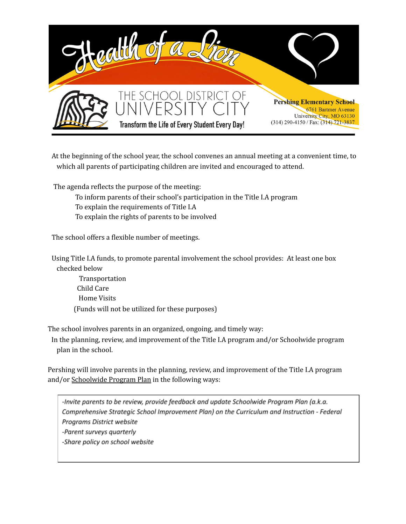

At the beginning of the school year, the school convenes an annual meeting at a convenient time, to which all parents of participating children are invited and encouraged to attend.

The agenda reflects the purpose of the meeting:

- To inform parents of their school's participation in the Title I.A program
- To explain the requirements of Title I.A
- To explain the rights of parents to be involved

The school offers a flexible number of meetings.

Using Title I.A funds, to promote parental involvement the school provides: At least one box checked below

Transportation Child Care Home Visits (Funds will not be utilized for these purposes)

The school involves parents in an organized, ongoing, and timely way:

In the planning, review, and improvement of the Title I.A program and/or Schoolwide program plan in the school.

Pershing will involve parents in the planning, review, and improvement of the Title I.A program and/or Schoolwide Program Plan in the following ways:

-Invite parents to be review, provide feedback and update Schoolwide Program Plan (a.k.a. Comprehensive Strategic School Improvement Plan) on the Curriculum and Instruction - Federal Programs District website -Parent surveys quarterly -Share policy on school website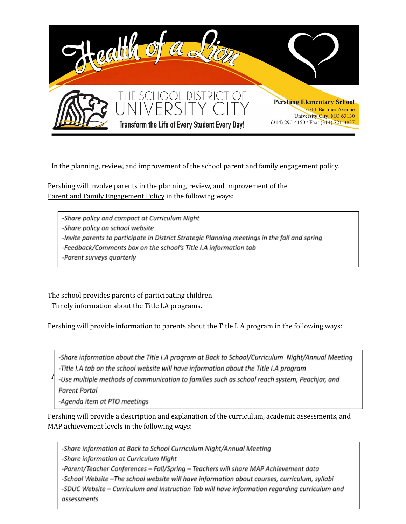

In the planning, review, and improvement of the school parent and family engagement policy.

Pershing will involve parents in the planning, review, and improvement of the Parent and Family Engagement Policy in the following ways:

-Share policy and compact at Curriculum Night -Share policy on school website -Invite parents to participate in District Strategic Planning meetings in the fall and spring -Feedback/Comments box on the school's Title I.A information tab -Parent surveys quarterly

The school provides parents of participating children: Timely information about the Title I.A programs.

Pershing will provide information to parents about the Title I. A program in the following ways:

-Share information about the Title I.A program at Back to School/Curriculum Night/Annual Meeting -Title I.A tab on the school website will have information about the Title I.A program

-Use multiple methods of communication to families such as school reach system, Peachjar, and assessments that are used to measure progress that are used to measure progress, and the MAPP of the MAPP of the MAPP of the MAPP of the MAPP of the MAPP of the MAPP of the MAPP of the MAPP of the MAPP of the MAPP of the M

-Agenda item at PTO meetings

Pershing will provide a description and explanation of the curriculum, academic assessments, and MAP achievement levels in the following ways:

-Share information at Back to School Curriculum Night/Annual Meeting

-Share information at Curriculum Night

-Parent/Teacher Conferences - Fall/Spring - Teachers will share MAP Achievement data

-School Website -The school website will have information about courses, curriculum, syllabi

-SDUC Website - Curriculum and Instruction Tab will have information regarding curriculum and assessments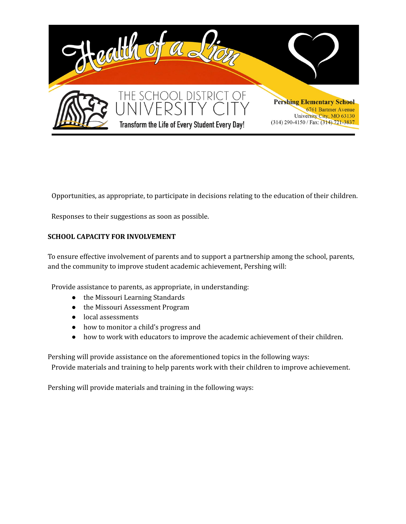

Opportunities, as appropriate, to participate in decisions relating to the education of their children.

Responses to their suggestions as soon as possible.

## **SCHOOL CAPACITY FOR INVOLVEMENT**

To ensure effective involvement of parents and to support a partnership among the school, parents, and the community to improve student academic achievement, Pershing will:

Provide assistance to parents, as appropriate, in understanding:

- the Missouri Learning Standards
- the Missouri Assessment Program
- local assessments
- how to monitor a child's progress and
- how to work with educators to improve the academic achievement of their children.

Pershing will provide assistance on the aforementioned topics in the following ways:

Provide materials and training to help parents work with their children to improve achievement.

Pershing will provide materials and training in the following ways: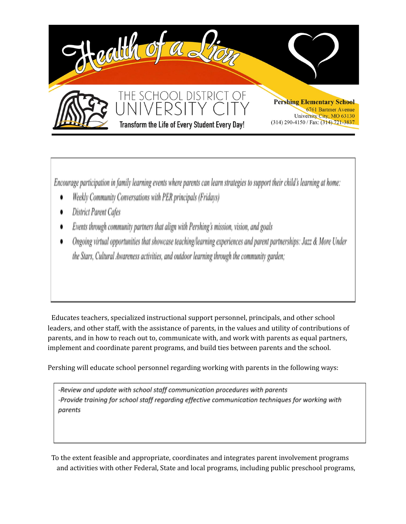

Encourage participation in family learning events where parents can learn strategies to support their child's learning at home:

- Weekly Community Conversations with PER principals (Fridays)
- District Parent Cafes
- Events through community partners that align with Pershing's mission, vision, and goals
- Ongoing virtual opportunities that showcase teaching/learning experiences and parent partnerships: Jazz & More Under the Stars, Cultural Awareness activities, and outdoor learning through the community garden;

Educates teachers, specialized instructional support personnel, principals, and other school leaders, and other staff, with the assistance of parents, in the values and utility of contributions of parents, and in how to reach out to, communicate with, and work with parents as equal partners, implement and coordinate parent programs, and build ties between parents and the school.

Pershing will educate school personnel regarding working with parents in the following ways:

-Review and update with school staff communication procedures with parents -Provide training for school staff regarding effective communication techniques for working with parents

To the extent feasible and appropriate, coordinates and integrates parent involvement programs and activities with other Federal, State and local programs, including public preschool programs,